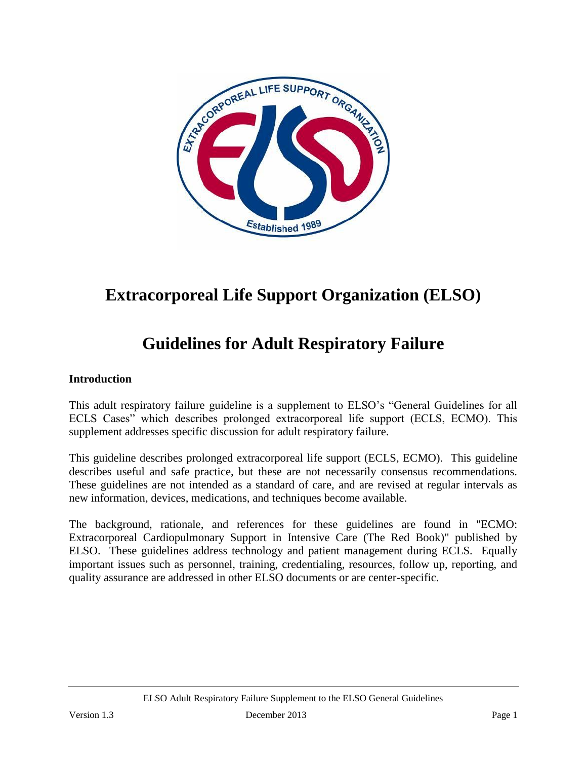

# **Extracorporeal Life Support Organization (ELSO)**

# **Guidelines for Adult Respiratory Failure**

#### **Introduction**

This adult respiratory failure guideline is a supplement to ELSO's "General Guidelines for all ECLS Cases" which describes prolonged extracorporeal life support (ECLS, ECMO). This supplement addresses specific discussion for adult respiratory failure.

This guideline describes prolonged extracorporeal life support (ECLS, ECMO). This guideline describes useful and safe practice, but these are not necessarily consensus recommendations. These guidelines are not intended as a standard of care, and are revised at regular intervals as new information, devices, medications, and techniques become available.

The background, rationale, and references for these guidelines are found in "ECMO: Extracorporeal Cardiopulmonary Support in Intensive Care (The Red Book)" published by ELSO. These guidelines address technology and patient management during ECLS. Equally important issues such as personnel, training, credentialing, resources, follow up, reporting, and quality assurance are addressed in other ELSO documents or are center-specific.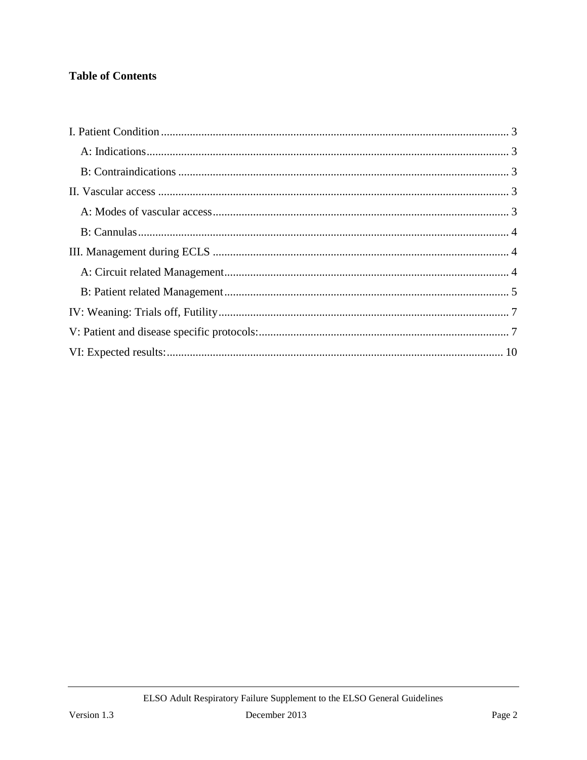# **Table of Contents**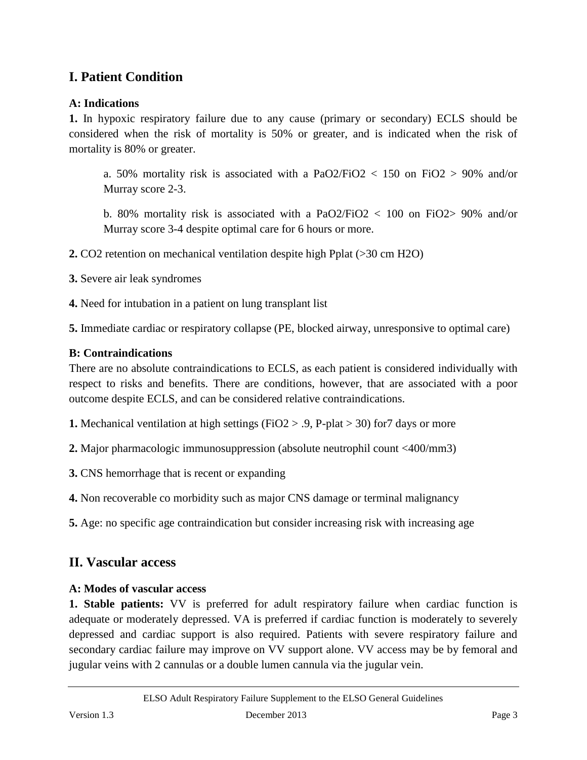# <span id="page-2-0"></span>**I. Patient Condition**

## <span id="page-2-1"></span>**A: Indications**

**1.** In hypoxic respiratory failure due to any cause (primary or secondary) ECLS should be considered when the risk of mortality is 50% or greater, and is indicated when the risk of mortality is 80% or greater.

a. 50% mortality risk is associated with a PaO2/FiO2 < 150 on FiO2 > 90% and/or Murray score 2-3.

b. 80% mortality risk is associated with a PaO2/FiO2  $< 100$  on FiO2  $> 90\%$  and/or Murray score 3-4 despite optimal care for 6 hours or more.

**2.** CO2 retention on mechanical ventilation despite high Pplat (>30 cm H2O)

**3.** Severe air leak syndromes

**4.** Need for intubation in a patient on lung transplant list

**5.** Immediate cardiac or respiratory collapse (PE, blocked airway, unresponsive to optimal care)

#### <span id="page-2-2"></span>**B: Contraindications**

There are no absolute contraindications to ECLS, as each patient is considered individually with respect to risks and benefits. There are conditions, however, that are associated with a poor outcome despite ECLS, and can be considered relative contraindications.

**1.** Mechanical ventilation at high settings (FiO2 > .9, P-plat > 30) for7 days or more

**2.** Major pharmacologic immunosuppression (absolute neutrophil count <400/mm3)

**3.** CNS hemorrhage that is recent or expanding

**4.** Non recoverable co morbidity such as major CNS damage or terminal malignancy

**5.** Age: no specific age contraindication but consider increasing risk with increasing age

# <span id="page-2-3"></span>**II. Vascular access**

#### <span id="page-2-4"></span>**A: Modes of vascular access**

**1. Stable patients:** VV is preferred for adult respiratory failure when cardiac function is adequate or moderately depressed. VA is preferred if cardiac function is moderately to severely depressed and cardiac support is also required. Patients with severe respiratory failure and secondary cardiac failure may improve on VV support alone. VV access may be by femoral and jugular veins with 2 cannulas or a double lumen cannula via the jugular vein.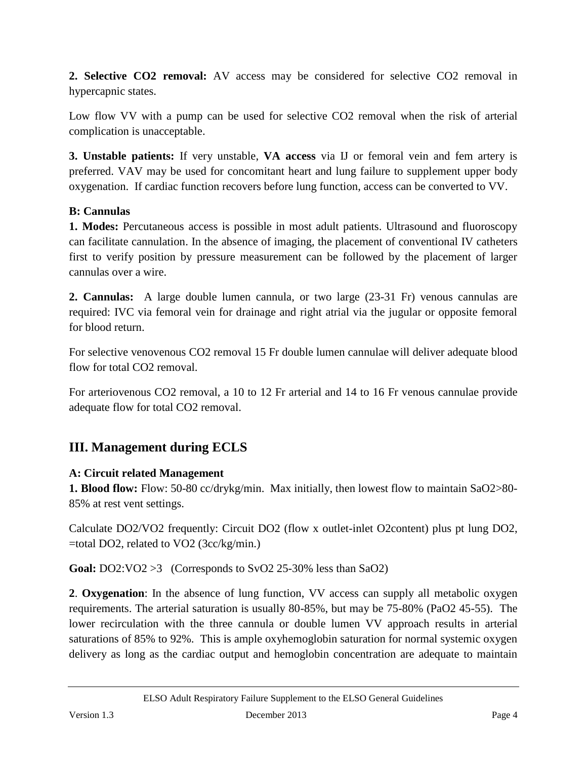**2. Selective CO2 removal:** AV access may be considered for selective CO2 removal in hypercapnic states.

Low flow VV with a pump can be used for selective CO2 removal when the risk of arterial complication is unacceptable.

**3. Unstable patients:** If very unstable, **VA access** via IJ or femoral vein and fem artery is preferred. VAV may be used for concomitant heart and lung failure to supplement upper body oxygenation. If cardiac function recovers before lung function, access can be converted to VV.

#### <span id="page-3-0"></span>**B: Cannulas**

**1. Modes:** Percutaneous access is possible in most adult patients. Ultrasound and fluoroscopy can facilitate cannulation. In the absence of imaging, the placement of conventional IV catheters first to verify position by pressure measurement can be followed by the placement of larger cannulas over a wire.

**2. Cannulas:** A large double lumen cannula, or two large (23-31 Fr) venous cannulas are required: IVC via femoral vein for drainage and right atrial via the jugular or opposite femoral for blood return.

For selective venovenous CO2 removal 15 Fr double lumen cannulae will deliver adequate blood flow for total CO2 removal.

For arteriovenous CO2 removal, a 10 to 12 Fr arterial and 14 to 16 Fr venous cannulae provide adequate flow for total CO2 removal.

# <span id="page-3-1"></span>**III. Management during ECLS**

## <span id="page-3-2"></span>**A: Circuit related Management**

**1. Blood flow:** Flow: 50-80 cc/drykg/min. Max initially, then lowest flow to maintain SaO2>80- 85% at rest vent settings.

Calculate DO2/VO2 frequently: Circuit DO2 (flow x outlet-inlet O2content) plus pt lung DO2, =total DO2, related to VO2 (3cc/kg/min.)

Goal: DO2:VO2 > 3 (Corresponds to SvO2 25-30% less than SaO2)

**2**. **Oxygenation**: In the absence of lung function, VV access can supply all metabolic oxygen requirements. The arterial saturation is usually 80-85%, but may be 75-80% (PaO2 45-55). The lower recirculation with the three cannula or double lumen VV approach results in arterial saturations of 85% to 92%. This is ample oxyhemoglobin saturation for normal systemic oxygen delivery as long as the cardiac output and hemoglobin concentration are adequate to maintain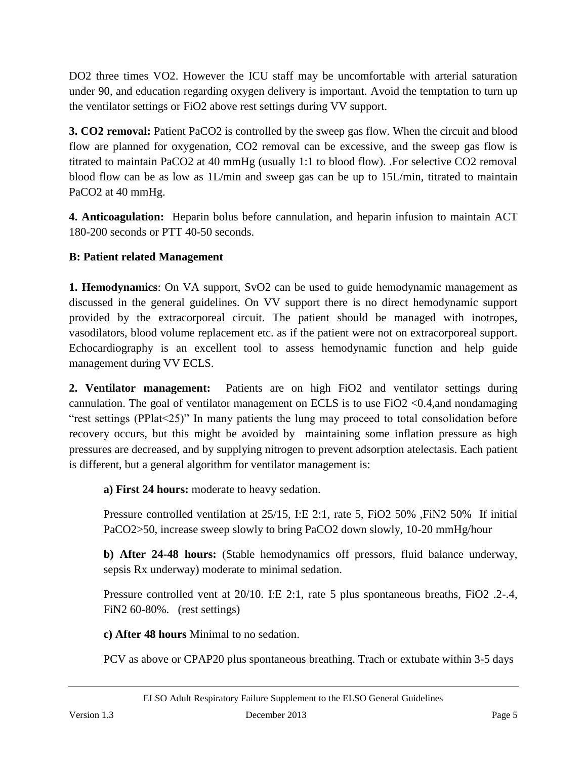DO2 three times VO2. However the ICU staff may be uncomfortable with arterial saturation under 90, and education regarding oxygen delivery is important. Avoid the temptation to turn up the ventilator settings or FiO2 above rest settings during VV support.

**3. CO2 removal:** Patient PaCO2 is controlled by the sweep gas flow. When the circuit and blood flow are planned for oxygenation, CO2 removal can be excessive, and the sweep gas flow is titrated to maintain PaCO2 at 40 mmHg (usually 1:1 to blood flow). .For selective CO2 removal blood flow can be as low as 1L/min and sweep gas can be up to 15L/min, titrated to maintain PaCO2 at 40 mmHg.

**4. Anticoagulation:** Heparin bolus before cannulation, and heparin infusion to maintain ACT 180-200 seconds or PTT 40-50 seconds.

## <span id="page-4-0"></span>**B: Patient related Management**

**1. Hemodynamics**: On VA support, SvO2 can be used to guide hemodynamic management as discussed in the general guidelines. On VV support there is no direct hemodynamic support provided by the extracorporeal circuit. The patient should be managed with inotropes, vasodilators, blood volume replacement etc. as if the patient were not on extracorporeal support. Echocardiography is an excellent tool to assess hemodynamic function and help guide management during VV ECLS.

**2. Ventilator management:** Patients are on high FiO2 and ventilator settings during cannulation. The goal of ventilator management on ECLS is to use  $FiO2 < 0.4$ , and nondamaging "rest settings (PPlat<25)" In many patients the lung may proceed to total consolidation before recovery occurs, but this might be avoided by maintaining some inflation pressure as high pressures are decreased, and by supplying nitrogen to prevent adsorption atelectasis. Each patient is different, but a general algorithm for ventilator management is:

**a) First 24 hours:** moderate to heavy sedation.

Pressure controlled ventilation at 25/15, I:E 2:1, rate 5, FiO2 50% ,FiN2 50% If initial PaCO2>50, increase sweep slowly to bring PaCO2 down slowly, 10-20 mmHg/hour

**b) After 24-48 hours:** (Stable hemodynamics off pressors, fluid balance underway, sepsis Rx underway) moderate to minimal sedation.

Pressure controlled vent at 20/10. I:E 2:1, rate 5 plus spontaneous breaths, FiO2 .2-.4, FiN2 60-80%. (rest settings)

**c) After 48 hours** Minimal to no sedation.

PCV as above or CPAP20 plus spontaneous breathing. Trach or extubate within 3-5 days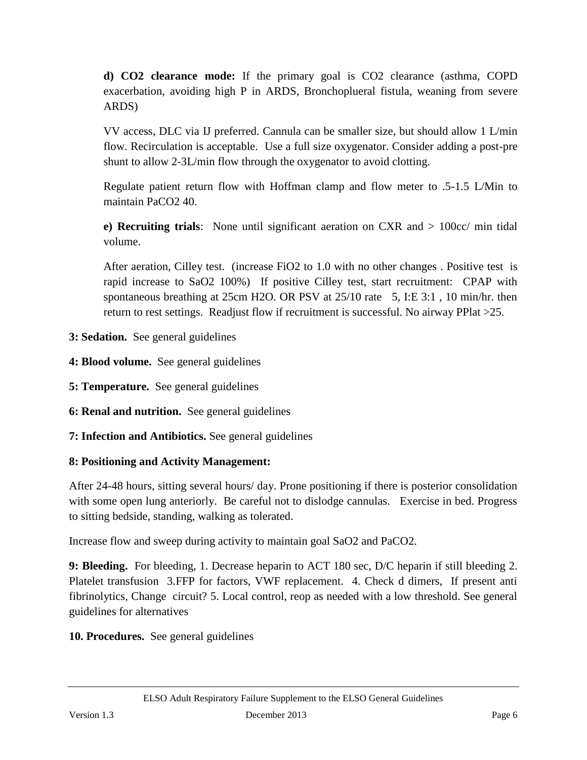**d) CO2 clearance mode:** If the primary goal is CO2 clearance (asthma, COPD exacerbation, avoiding high P in ARDS, Bronchoplueral fistula, weaning from severe ARDS)

VV access, DLC via IJ preferred. Cannula can be smaller size, but should allow 1 L/min flow. Recirculation is acceptable. Use a full size oxygenator. Consider adding a post-pre shunt to allow 2-3L/min flow through the oxygenator to avoid clotting.

Regulate patient return flow with Hoffman clamp and flow meter to .5-1.5 L/Min to maintain PaCO2 40.

**e) Recruiting trials**: None until significant aeration on CXR and > 100cc/ min tidal volume.

After aeration, Cilley test. (increase FiO2 to 1.0 with no other changes . Positive test is rapid increase to SaO2 100%) If positive Cilley test, start recruitment: CPAP with spontaneous breathing at 25cm H2O. OR PSV at 25/10 rate 5, I:E 3:1, 10 min/hr. then return to rest settings. Readjust flow if recruitment is successful. No airway PPlat >25.

- **3: Sedation.** See general guidelines
- **4: Blood volume.** See general guidelines
- **5: Temperature.** See general guidelines
- **6: Renal and nutrition.** See general guidelines
- **7: Infection and Antibiotics.** See general guidelines

#### **8: Positioning and Activity Management:**

After 24-48 hours, sitting several hours/ day. Prone positioning if there is posterior consolidation with some open lung anteriorly. Be careful not to dislodge cannulas. Exercise in bed. Progress to sitting bedside, standing, walking as tolerated.

Increase flow and sweep during activity to maintain goal SaO2 and PaCO2.

**9: Bleeding.** For bleeding, 1. Decrease heparin to ACT 180 sec, D/C heparin if still bleeding 2. Platelet transfusion 3.FFP for factors, VWF replacement. 4. Check d dimers, If present anti fibrinolytics, Change circuit? 5. Local control, reop as needed with a low threshold. See general guidelines for alternatives

**10. Procedures.** See general guidelines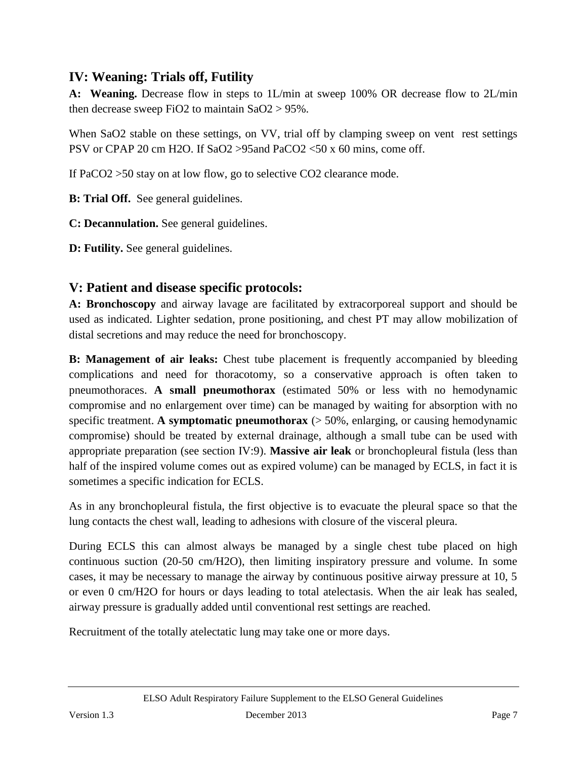# <span id="page-6-0"></span>**IV: Weaning: Trials off, Futility**

**A: Weaning.** Decrease flow in steps to 1L/min at sweep 100% OR decrease flow to 2L/min then decrease sweep FiO2 to maintain SaO2 > 95%.

When SaO2 stable on these settings, on VV, trial off by clamping sweep on vent rest settings PSV or CPAP 20 cm H2O. If SaO2 > 95and PaCO2 <50 x 60 mins, come off.

If PaCO2 >50 stay on at low flow, go to selective CO2 clearance mode.

**B: Trial Off.** See general guidelines.

**C: Decannulation.** See general guidelines.

**D: Futility.** See general guidelines.

## <span id="page-6-1"></span>**V: Patient and disease specific protocols:**

**A: Bronchoscopy** and airway lavage are facilitated by extracorporeal support and should be used as indicated. Lighter sedation, prone positioning, and chest PT may allow mobilization of distal secretions and may reduce the need for bronchoscopy.

**B: Management of air leaks:** Chest tube placement is frequently accompanied by bleeding complications and need for thoracotomy, so a conservative approach is often taken to pneumothoraces. **A small pneumothorax** (estimated 50% or less with no hemodynamic compromise and no enlargement over time) can be managed by waiting for absorption with no specific treatment. **A symptomatic pneumothorax** ( $>$  50%, enlarging, or causing hemodynamic compromise) should be treated by external drainage, although a small tube can be used with appropriate preparation (see section IV:9). **Massive air leak** or bronchopleural fistula (less than half of the inspired volume comes out as expired volume) can be managed by ECLS, in fact it is sometimes a specific indication for ECLS.

As in any bronchopleural fistula, the first objective is to evacuate the pleural space so that the lung contacts the chest wall, leading to adhesions with closure of the visceral pleura.

During ECLS this can almost always be managed by a single chest tube placed on high continuous suction (20-50 cm/H2O), then limiting inspiratory pressure and volume. In some cases, it may be necessary to manage the airway by continuous positive airway pressure at 10, 5 or even 0 cm/H2O for hours or days leading to total atelectasis. When the air leak has sealed, airway pressure is gradually added until conventional rest settings are reached.

Recruitment of the totally atelectatic lung may take one or more days.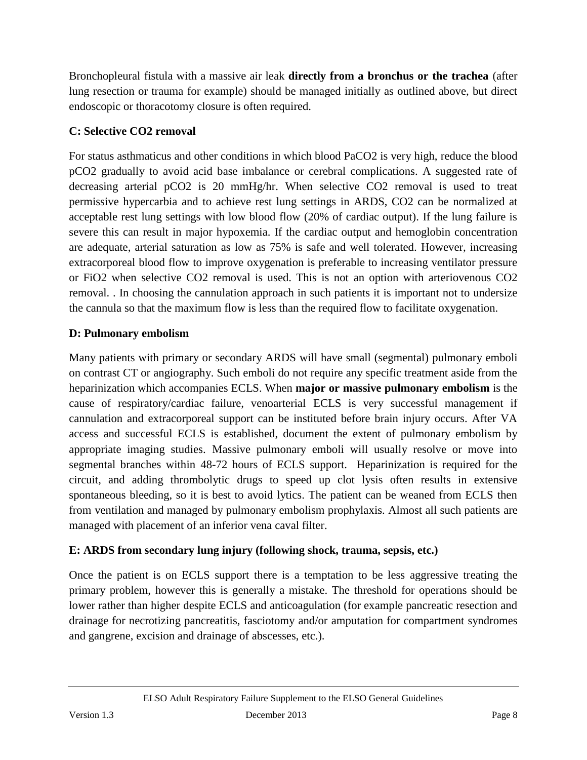Bronchopleural fistula with a massive air leak **directly from a bronchus or the trachea** (after lung resection or trauma for example) should be managed initially as outlined above, but direct endoscopic or thoracotomy closure is often required.

# **C: Selective CO2 removal**

For status asthmaticus and other conditions in which blood PaCO2 is very high, reduce the blood pCO2 gradually to avoid acid base imbalance or cerebral complications. A suggested rate of decreasing arterial pCO2 is 20 mmHg/hr. When selective CO2 removal is used to treat permissive hypercarbia and to achieve rest lung settings in ARDS, CO2 can be normalized at acceptable rest lung settings with low blood flow (20% of cardiac output). If the lung failure is severe this can result in major hypoxemia. If the cardiac output and hemoglobin concentration are adequate, arterial saturation as low as 75% is safe and well tolerated. However, increasing extracorporeal blood flow to improve oxygenation is preferable to increasing ventilator pressure or FiO2 when selective CO2 removal is used. This is not an option with arteriovenous CO2 removal. . In choosing the cannulation approach in such patients it is important not to undersize the cannula so that the maximum flow is less than the required flow to facilitate oxygenation.

## **D: Pulmonary embolism**

Many patients with primary or secondary ARDS will have small (segmental) pulmonary emboli on contrast CT or angiography. Such emboli do not require any specific treatment aside from the heparinization which accompanies ECLS. When **major or massive pulmonary embolism** is the cause of respiratory/cardiac failure, venoarterial ECLS is very successful management if cannulation and extracorporeal support can be instituted before brain injury occurs. After VA access and successful ECLS is established, document the extent of pulmonary embolism by appropriate imaging studies. Massive pulmonary emboli will usually resolve or move into segmental branches within 48-72 hours of ECLS support. Heparinization is required for the circuit, and adding thrombolytic drugs to speed up clot lysis often results in extensive spontaneous bleeding, so it is best to avoid lytics. The patient can be weaned from ECLS then from ventilation and managed by pulmonary embolism prophylaxis. Almost all such patients are managed with placement of an inferior vena caval filter.

## **E: ARDS from secondary lung injury (following shock, trauma, sepsis, etc.)**

Once the patient is on ECLS support there is a temptation to be less aggressive treating the primary problem, however this is generally a mistake. The threshold for operations should be lower rather than higher despite ECLS and anticoagulation (for example pancreatic resection and drainage for necrotizing pancreatitis, fasciotomy and/or amputation for compartment syndromes and gangrene, excision and drainage of abscesses, etc.).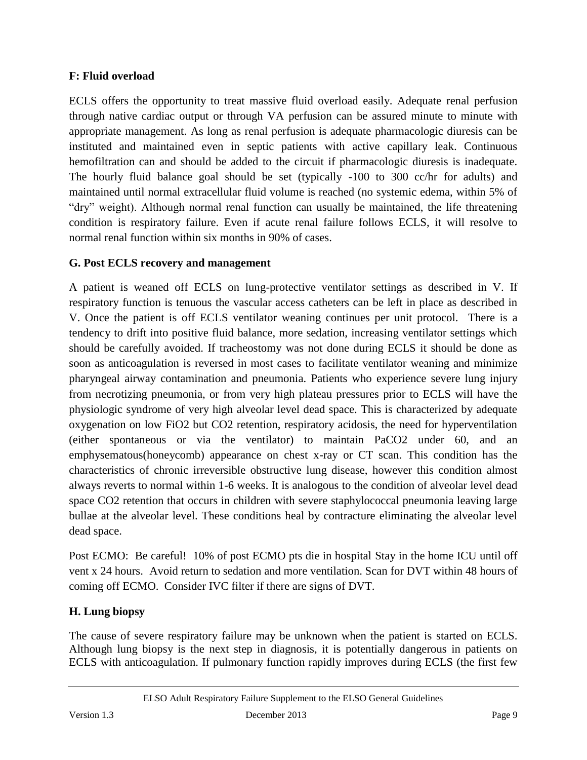### **F: Fluid overload**

ECLS offers the opportunity to treat massive fluid overload easily. Adequate renal perfusion through native cardiac output or through VA perfusion can be assured minute to minute with appropriate management. As long as renal perfusion is adequate pharmacologic diuresis can be instituted and maintained even in septic patients with active capillary leak. Continuous hemofiltration can and should be added to the circuit if pharmacologic diuresis is inadequate. The hourly fluid balance goal should be set (typically -100 to 300 cc/hr for adults) and maintained until normal extracellular fluid volume is reached (no systemic edema, within 5% of "dry" weight). Although normal renal function can usually be maintained, the life threatening condition is respiratory failure. Even if acute renal failure follows ECLS, it will resolve to normal renal function within six months in 90% of cases.

#### **G. Post ECLS recovery and management**

A patient is weaned off ECLS on lung-protective ventilator settings as described in V. If respiratory function is tenuous the vascular access catheters can be left in place as described in V. Once the patient is off ECLS ventilator weaning continues per unit protocol. There is a tendency to drift into positive fluid balance, more sedation, increasing ventilator settings which should be carefully avoided. If tracheostomy was not done during ECLS it should be done as soon as anticoagulation is reversed in most cases to facilitate ventilator weaning and minimize pharyngeal airway contamination and pneumonia. Patients who experience severe lung injury from necrotizing pneumonia, or from very high plateau pressures prior to ECLS will have the physiologic syndrome of very high alveolar level dead space. This is characterized by adequate oxygenation on low FiO2 but CO2 retention, respiratory acidosis, the need for hyperventilation (either spontaneous or via the ventilator) to maintain PaCO2 under 60, and an emphysematous(honeycomb) appearance on chest x-ray or CT scan. This condition has the characteristics of chronic irreversible obstructive lung disease, however this condition almost always reverts to normal within 1-6 weeks. It is analogous to the condition of alveolar level dead space CO2 retention that occurs in children with severe staphylococcal pneumonia leaving large bullae at the alveolar level. These conditions heal by contracture eliminating the alveolar level dead space.

Post ECMO: Be careful! 10% of post ECMO pts die in hospital Stay in the home ICU until off vent x 24 hours.Avoid return to sedation and more ventilation. Scan for DVT within 48 hours of coming off ECMO. Consider IVC filter if there are signs of DVT.

## **H. Lung biopsy**

The cause of severe respiratory failure may be unknown when the patient is started on ECLS. Although lung biopsy is the next step in diagnosis, it is potentially dangerous in patients on ECLS with anticoagulation. If pulmonary function rapidly improves during ECLS (the first few